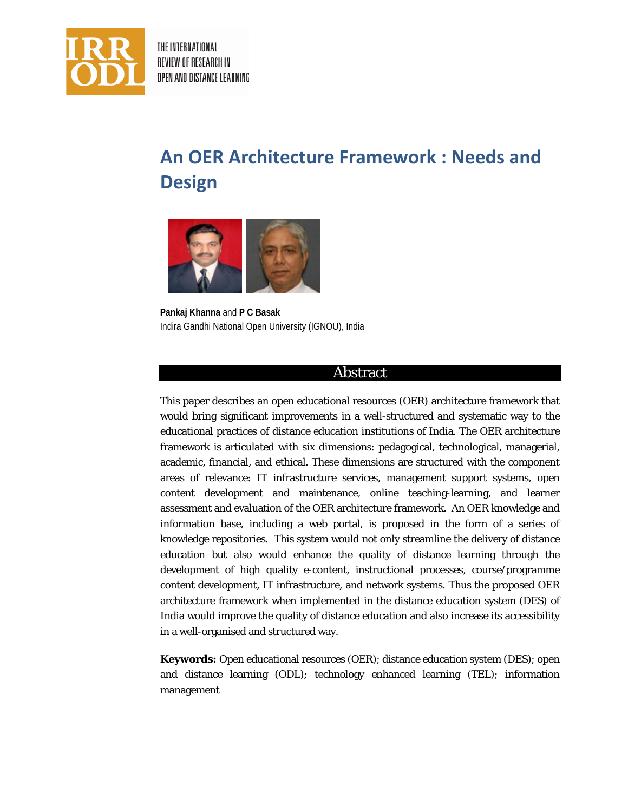

THE INTERNATIONAL REVIEW OF RESEARCH IN OPEN AND DISTANCE LEARNING

# **An OER Architecture Framework : Needs and Design**



**Pankaj Khanna** and **P C Basak** Indira Gandhi National Open University (IGNOU), India

# **Abstract**

This paper describes an open educational resources (OER) architecture framework that would bring significant improvements in a well-structured and systematic way to the educational practices of distance education institutions of India. The OER architecture framework is articulated with six dimensions: pedagogical, technological, managerial, academic, financial, and ethical. These dimensions are structured with the component areas of relevance: IT infrastructure services, management support systems, open content development and maintenance, online teaching-learning, and learner assessment and evaluation of the OER architecture framework. An OER knowledge and information base, including a web portal, is proposed in the form of a series of knowledge repositories. This system would not only streamline the delivery of distance education but also would enhance the quality of distance learning through the development of high quality e-content, instructional processes, course/programme content development, IT infrastructure, and network systems. Thus the proposed OER architecture framework when implemented in the distance education system (DES) of India would improve the quality of distance education and also increase its accessibility in a well-organised and structured way.

**Keywords:** Open educational resources (OER); distance education system (DES); open and distance learning (ODL); technology enhanced learning (TEL); information management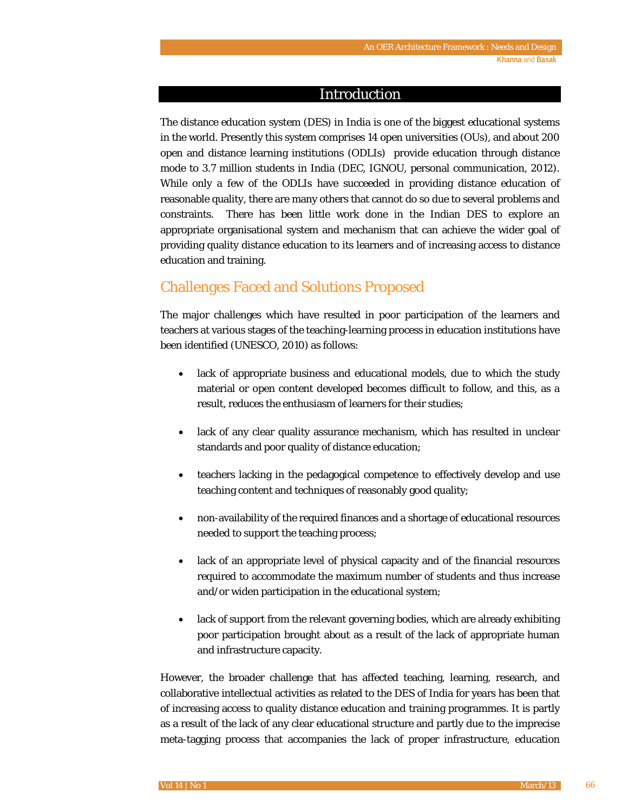### Introduction

The distance education system (DES) in India is one of the biggest educational systems in the world. Presently this system comprises 14 open universities (OUs), and about 200 open and distance learning institutions (ODLIs) provide education through distance mode to 3.7 million students in India (DEC, IGNOU, personal communication, 2012). While only a few of the ODLIs have succeeded in providing distance education of reasonable quality, there are many others that cannot do so due to several problems and constraints. There has been little work done in the Indian DES to explore an appropriate organisational system and mechanism that can achieve the wider goal of providing quality distance education to its learners and of increasing access to distance education and training.

# Challenges Faced and Solutions Proposed

The major challenges which have resulted in poor participation of the learners and teachers at various stages of the teaching-learning process in education institutions have been identified (UNESCO, 2010) as follows:

- lack of appropriate business and educational models, due to which the study material or open content developed becomes difficult to follow, and this, as a result, reduces the enthusiasm of learners for their studies;
- lack of any clear quality assurance mechanism, which has resulted in unclear standards and poor quality of distance education;
- teachers lacking in the pedagogical competence to effectively develop and use teaching content and techniques of reasonably good quality;
- non-availability of the required finances and a shortage of educational resources needed to support the teaching process;
- lack of an appropriate level of physical capacity and of the financial resources required to accommodate the maximum number of students and thus increase and/or widen participation in the educational system;
- lack of support from the relevant governing bodies, which are already exhibiting poor participation brought about as a result of the lack of appropriate human and infrastructure capacity.

However, the broader challenge that has affected teaching, learning, research, and collaborative intellectual activities as related to the DES of India for years has been that of increasing access to quality distance education and training programmes. It is partly as a result of the lack of any clear educational structure and partly due to the imprecise meta-tagging process that accompanies the lack of proper infrastructure, education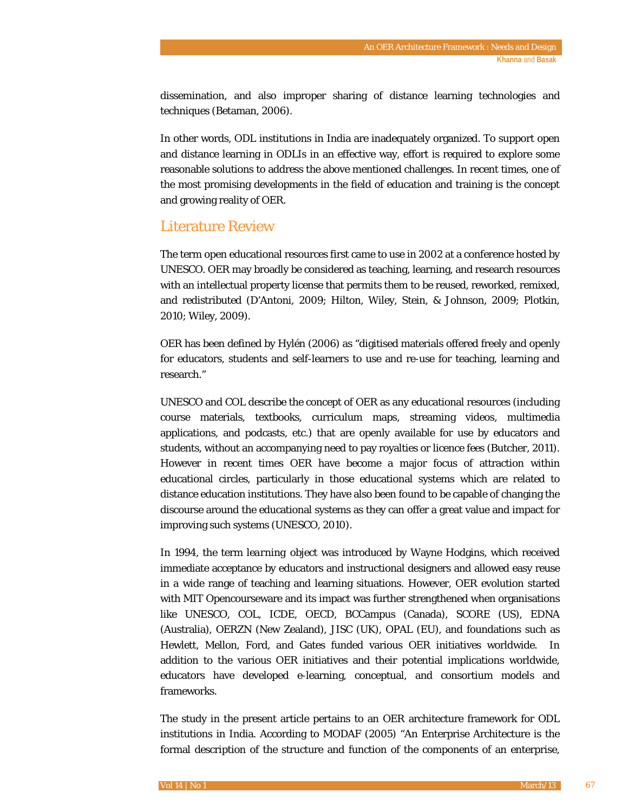dissemination, and also improper sharing of distance learning technologies and techniques (Betaman, 2006).

In other words, ODL institutions in India are inadequately organized. To support open and distance learning in ODLIs in an effective way, effort is required to explore some reasonable solutions to address the above mentioned challenges. In recent times, one of the most promising developments in the field of education and training is the concept and growing reality of OER.

### Literature Review

The term open educational resources first came to use in 2002 at a conference hosted by UNESCO. OER may broadly be considered as teaching, learning, and research resources with an intellectual property license that permits them to be reused, reworked, remixed, and redistributed (D'Antoni, 2009; Hilton, Wiley, Stein, & Johnson, 2009; Plotkin, 2010; Wiley, 2009).

OER has been defined by Hylén (2006) as "digitised materials offered freely and openly for educators, students and self-learners to use and re-use for teaching, learning and research."

UNESCO and COL describe the concept of OER as any educational resources (including course materials, textbooks, curriculum maps, streaming videos, multimedia applications, and podcasts, etc.) that are openly available for use by educators and students, without an accompanying need to pay royalties or licence fees (Butcher, 2011). However in recent times OER have become a major focus of attraction within educational circles, particularly in those educational systems which are related to distance education institutions. They have also been found to be capable of changing the discourse around the educational systems as they can offer a great value and impact for improving such systems (UNESCO, 2010).

In 1994, the term *learning object* was introduced by Wayne Hodgins, which received immediate acceptance by educators and instructional designers and allowed easy reuse in a wide range of teaching and learning situations. However, OER evolution started with MIT Opencourseware and its impact was further strengthened when organisations like UNESCO, COL, ICDE, OECD, BCCampus (Canada), SCORE (US), EDNA (Australia), OERZN (New Zealand), JISC (UK), OPAL (EU), and foundations such as Hewlett, Mellon, Ford, and Gates funded various OER initiatives worldwide. In addition to the various OER initiatives and their potential implications worldwide, educators have developed e-learning, conceptual, and consortium models and frameworks.

The study in the present article pertains to an OER architecture framework for ODL institutions in India. According to MODAF (2005) "An Enterprise Architecture is the formal description of the structure and function of the components of an enterprise,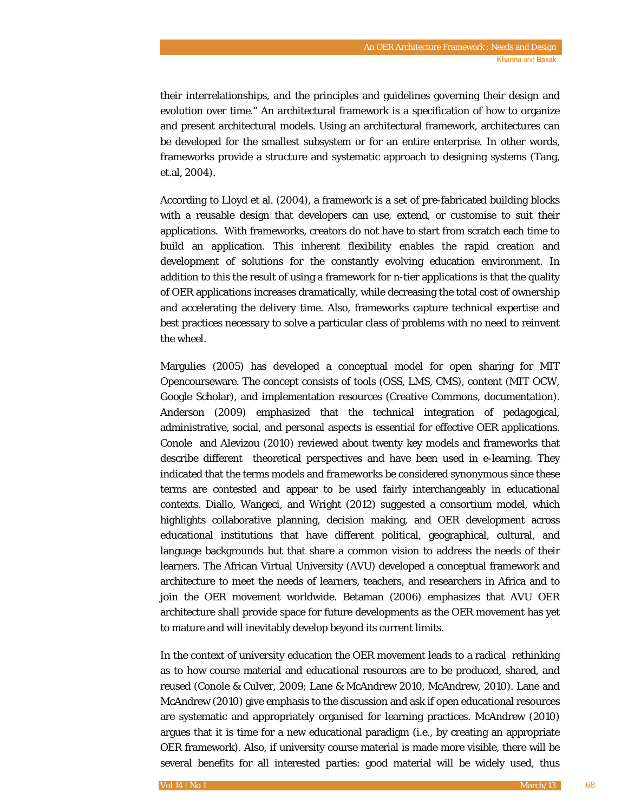their interrelationships, and the principles and guidelines governing their design and evolution over time." An architectural framework is a specification of how to organize and present architectural models. Using an architectural framework, architectures can be developed for the smallest subsystem or for an entire enterprise. In other words, frameworks provide a structure and systematic approach to designing systems (Tang, et.al, 2004).

According to Lloyd et al. (2004), a framework is a set of pre-fabricated building blocks with a reusable design that developers can use, extend, or customise to suit their applications. With frameworks, creators do not have to start from scratch each time to build an application. This inherent flexibility enables the rapid creation and development of solutions for the constantly evolving education environment. In addition to this the result of using a framework for n-tier applications is that the quality of OER applications increases dramatically, while decreasing the total cost of ownership and accelerating the delivery time. Also, frameworks capture technical expertise and best practices necessary to solve a particular class of problems with no need to reinvent the wheel.

Margulies (2005) has developed a conceptual model for open sharing for MIT Opencourseware. The concept consists of tools (OSS, LMS, CMS), content (MIT OCW, Google Scholar), and implementation resources (Creative Commons, documentation). Anderson (2009) emphasized that the technical integration of pedagogical, administrative, social, and personal aspects is essential for effective OER applications. Conole and Alevizou (2010) reviewed about twenty key models and frameworks that describe different theoretical perspectives and have been used in e-learning. They indicated that the terms *models* and *frameworks* be considered synonymous since these terms are contested and appear to be used fairly interchangeably in educational contexts. Diallo, Wangeci, and Wright (2012) suggested a consortium model, which highlights collaborative planning, decision making, and OER development across educational institutions that have different political, geographical, cultural, and language backgrounds but that share a common vision to address the needs of their learners. The African Virtual University (AVU) developed a conceptual framework and architecture to meet the needs of learners, teachers, and researchers in Africa and to join the OER movement worldwide. Betaman (2006) emphasizes that AVU OER architecture shall provide space for future developments as the OER movement has yet to mature and will inevitably develop beyond its current limits.

In the context of university education the OER movement leads to a radical rethinking as to how course material and educational resources are to be produced, shared, and reused (Conole & Culver, 2009; Lane & McAndrew 2010, McAndrew, 2010). Lane and McAndrew (2010) give emphasis to the discussion and ask if open educational resources are systematic and appropriately organised for learning practices. McAndrew (2010) argues that it is time for a new educational paradigm (i.e., by creating an appropriate OER framework). Also, if university course material is made more visible, there will be several benefits for all interested parties: good material will be widely used, thus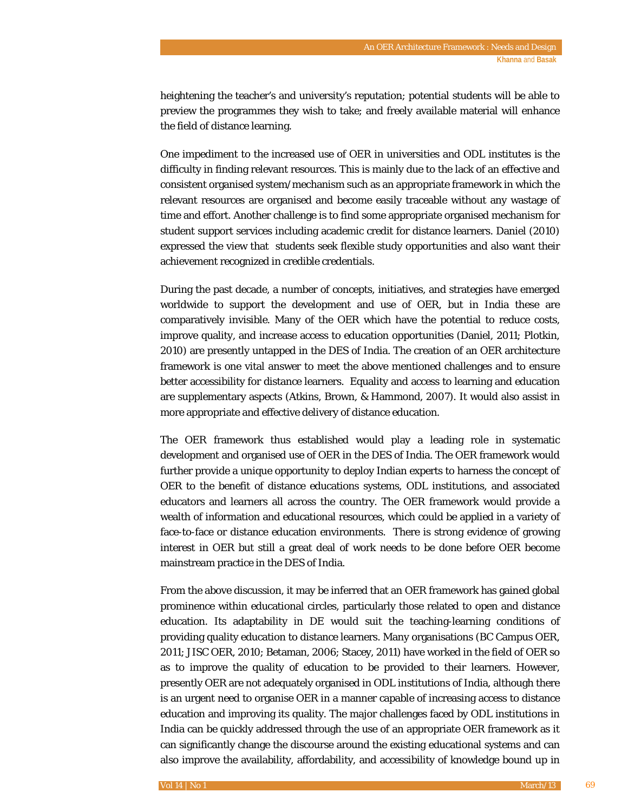heightening the teacher's and university's reputation; potential students will be able to preview the programmes they wish to take; and freely available material will enhance the field of distance learning.

One impediment to the increased use of OER in universities and ODL institutes is the difficulty in finding relevant resources. This is mainly due to the lack of an effective and consistent organised system/mechanism such as an appropriate framework in which the relevant resources are organised and become easily traceable without any wastage of time and effort. Another challenge is to find some appropriate organised mechanism for student support services including academic credit for distance learners. Daniel (2010) expressed the view that students seek flexible study opportunities and also want their achievement recognized in credible credentials.

During the past decade, a number of concepts, initiatives, and strategies have emerged worldwide to support the development and use of OER, but in India these are comparatively invisible. Many of the OER which have the potential to reduce costs, improve quality, and increase access to education opportunities (Daniel, 2011; Plotkin, 2010) are presently untapped in the DES of India. The creation of an OER architecture framework is one vital answer to meet the above mentioned challenges and to ensure better accessibility for distance learners. Equality and access to learning and education are supplementary aspects (Atkins, Brown, & Hammond, 2007). It would also assist in more appropriate and effective delivery of distance education.

The OER framework thus established would play a leading role in systematic development and organised use of OER in the DES of India. The OER framework would further provide a unique opportunity to deploy Indian experts to harness the concept of OER to the benefit of distance educations systems, ODL institutions, and associated educators and learners all across the country. The OER framework would provide a wealth of information and educational resources, which could be applied in a variety of face-to-face or distance education environments. There is strong evidence of growing interest in OER but still a great deal of work needs to be done before OER become mainstream practice in the DES of India.

From the above discussion, it may be inferred that an OER framework has gained global prominence within educational circles, particularly those related to open and distance education. Its adaptability in DE would suit the teaching-learning conditions of providing quality education to distance learners. Many organisations (BC Campus OER, 2011; JISC OER, 2010; Betaman, 2006; Stacey, 2011) have worked in the field of OER so as to improve the quality of education to be provided to their learners. However, presently OER are not adequately organised in ODL institutions of India, although there is an urgent need to organise OER in a manner capable of increasing access to distance education and improving its quality. The major challenges faced by ODL institutions in India can be quickly addressed through the use of an appropriate OER framework as it can significantly change the discourse around the existing educational systems and can also improve the availability, affordability, and accessibility of knowledge bound up in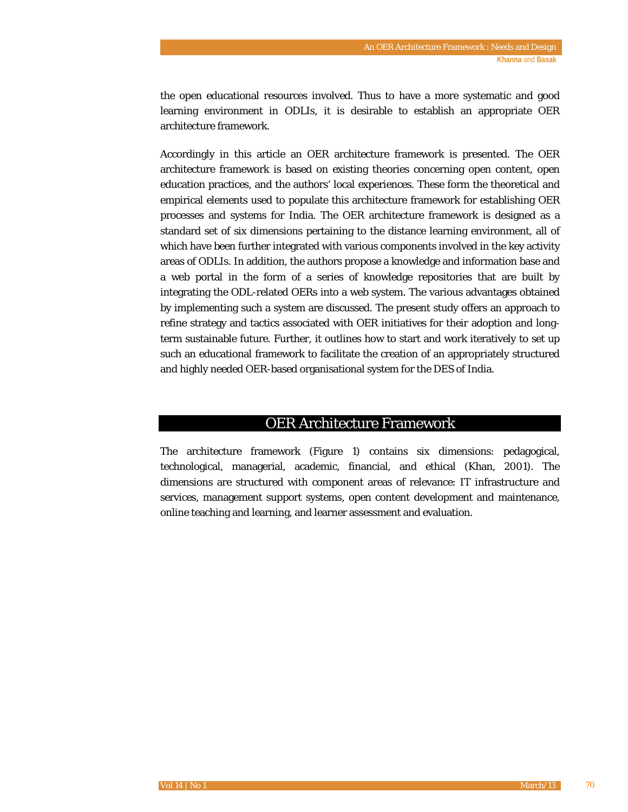the open educational resources involved. Thus to have a more systematic and good learning environment in ODLIs, it is desirable to establish an appropriate OER architecture framework.

Accordingly in this article an OER architecture framework is presented. The OER architecture framework is based on existing theories concerning open content, open education practices, and the authors' local experiences. These form the theoretical and empirical elements used to populate this architecture framework for establishing OER processes and systems for India. The OER architecture framework is designed as a standard set of six dimensions pertaining to the distance learning environment, all of which have been further integrated with various components involved in the key activity areas of ODLIs. In addition, the authors propose a knowledge and information base and a web portal in the form of a series of knowledge repositories that are built by integrating the ODL-related OERs into a web system. The various advantages obtained by implementing such a system are discussed. The present study offers an approach to refine strategy and tactics associated with OER initiatives for their adoption and longterm sustainable future. Further, it outlines how to start and work iteratively to set up such an educational framework to facilitate the creation of an appropriately structured and highly needed OER-based organisational system for the DES of India.

### OER Architecture Framework

The architecture framework (Figure 1) contains six dimensions: pedagogical, technological, managerial, academic, financial, and ethical (Khan, 2001). The dimensions are structured with component areas of relevance: IT infrastructure and services, management support systems, open content development and maintenance, online teaching and learning, and learner assessment and evaluation.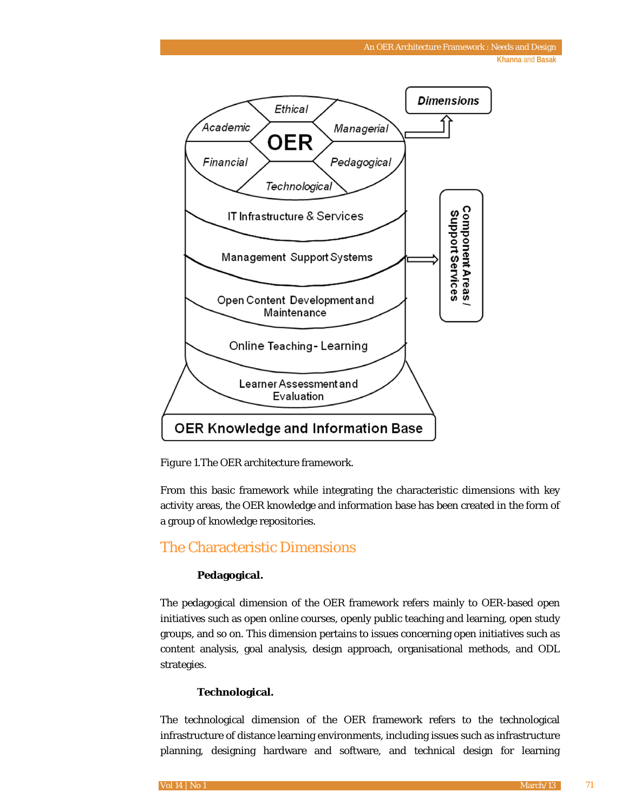

*Figure 1*.The OER architecture framework.

From this basic framework while integrating the characteristic dimensions with key activity areas, the OER knowledge and information base has been created in the form of a group of knowledge repositories.

# The Characteristic Dimensions

### **Pedagogical.**

The pedagogical dimension of the OER framework refers mainly to OER-based open initiatives such as open online courses, openly public teaching and learning, open study groups, and so on. This dimension pertains to issues concerning open initiatives such as content analysis, goal analysis, design approach, organisational methods, and ODL strategies.

### **Technological.**

The technological dimension of the OER framework refers to the technological infrastructure of distance learning environments, including issues such as infrastructure planning, designing hardware and software, and technical design for learning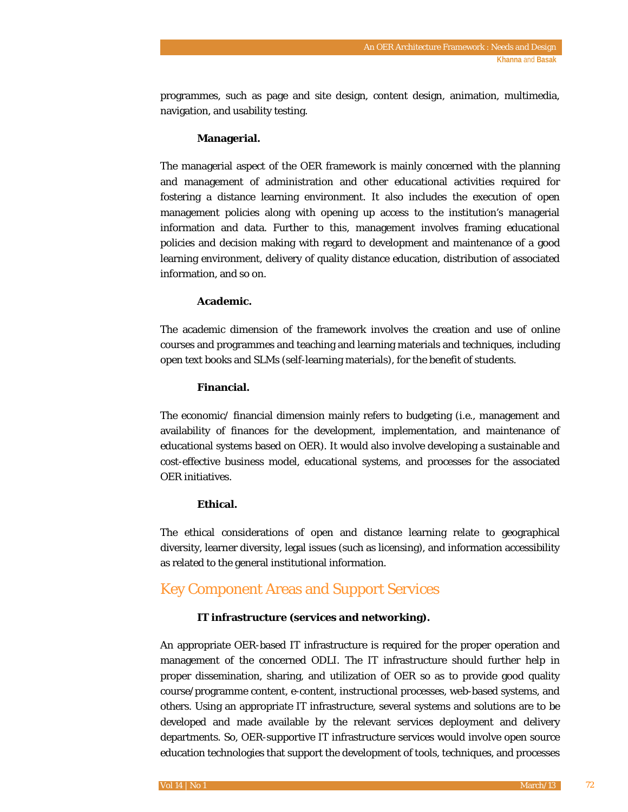programmes, such as page and site design, content design, animation, multimedia, navigation, and usability testing.

#### **Managerial.**

The managerial aspect of the OER framework is mainly concerned with the planning and management of administration and other educational activities required for fostering a distance learning environment. It also includes the execution of open management policies along with opening up access to the institution's managerial information and data. Further to this, management involves framing educational policies and decision making with regard to development and maintenance of a good learning environment, delivery of quality distance education, distribution of associated information, and so on.

#### **Academic.**

The academic dimension of the framework involves the creation and use of online courses and programmes and teaching and learning materials and techniques, including open text books and SLMs (self-learning materials), for the benefit of students.

#### **Financial.**

The economic/ financial dimension mainly refers to budgeting (i.e., management and availability of finances for the development, implementation, and maintenance of educational systems based on OER). It would also involve developing a sustainable and cost-effective business model, educational systems, and processes for the associated OER initiatives.

#### **Ethical.**

The ethical considerations of open and distance learning relate to geographical diversity, learner diversity, legal issues (such as licensing), and information accessibility as related to the general institutional information.

# Key Component Areas and Support Services

#### **IT infrastructure (services and networking).**

An appropriate OER-based IT infrastructure is required for the proper operation and management of the concerned ODLI. The IT infrastructure should further help in proper dissemination, sharing, and utilization of OER so as to provide good quality course/programme content, e-content, instructional processes, web-based systems, and others. Using an appropriate IT infrastructure, several systems and solutions are to be developed and made available by the relevant services deployment and delivery departments. So, OER-supportive IT infrastructure services would involve open source education technologies that support the development of tools, techniques, and processes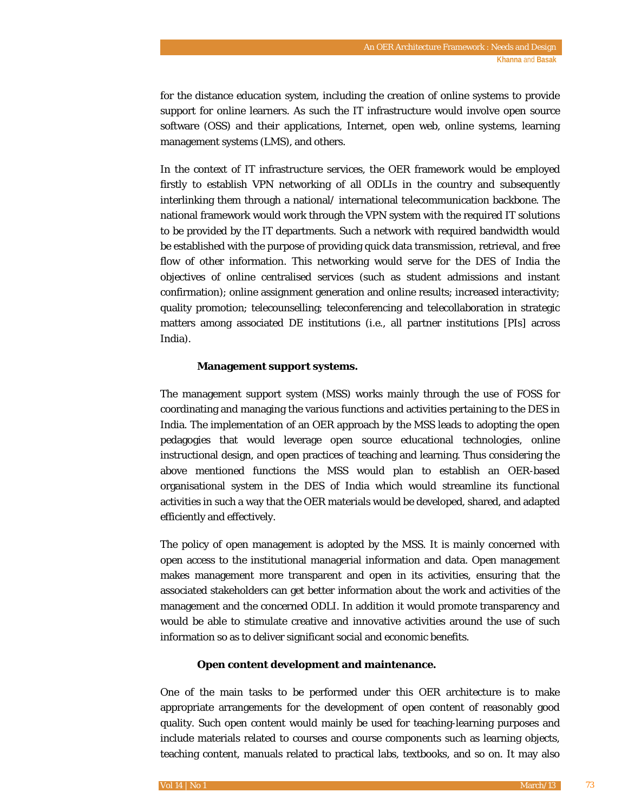for the distance education system, including the creation of online systems to provide support for online learners. As such the IT infrastructure would involve open source software (OSS) and their applications, Internet, open web, online systems, learning management systems (LMS), and others.

In the context of IT infrastructure services, the OER framework would be employed firstly to establish VPN networking of all ODLIs in the country and subsequently interlinking them through a national/ international telecommunication backbone. The national framework would work through the VPN system with the required IT solutions to be provided by the IT departments. Such a network with required bandwidth would be established with the purpose of providing quick data transmission, retrieval, and free flow of other information. This networking would serve for the DES of India the objectives of online centralised services (such as student admissions and instant confirmation); online assignment generation and online results; increased interactivity; quality promotion; telecounselling; teleconferencing and telecollaboration in strategic matters among associated DE institutions (i.e., all partner institutions [PIs] across India).

#### **Management support systems.**

The management support system (MSS) works mainly through the use of FOSS for coordinating and managing the various functions and activities pertaining to the DES in India. The implementation of an OER approach by the MSS leads to adopting the open pedagogies that would leverage open source educational technologies, online instructional design, and open practices of teaching and learning. Thus considering the above mentioned functions the MSS would plan to establish an OER-based organisational system in the DES of India which would streamline its functional activities in such a way that the OER materials would be developed, shared, and adapted efficiently and effectively.

The policy of open management is adopted by the MSS. It is mainly concerned with open access to the institutional managerial information and data. Open management makes management more transparent and open in its activities, ensuring that the associated stakeholders can get better information about the work and activities of the management and the concerned ODLI. In addition it would promote transparency and would be able to stimulate creative and innovative activities around the use of such information so as to deliver significant social and economic benefits.

#### **Open content development and maintenance.**

One of the main tasks to be performed under this OER architecture is to make appropriate arrangements for the development of open content of reasonably good quality. Such open content would mainly be used for teaching-learning purposes and include materials related to courses and course components such as learning objects, teaching content, manuals related to practical labs, textbooks, and so on. It may also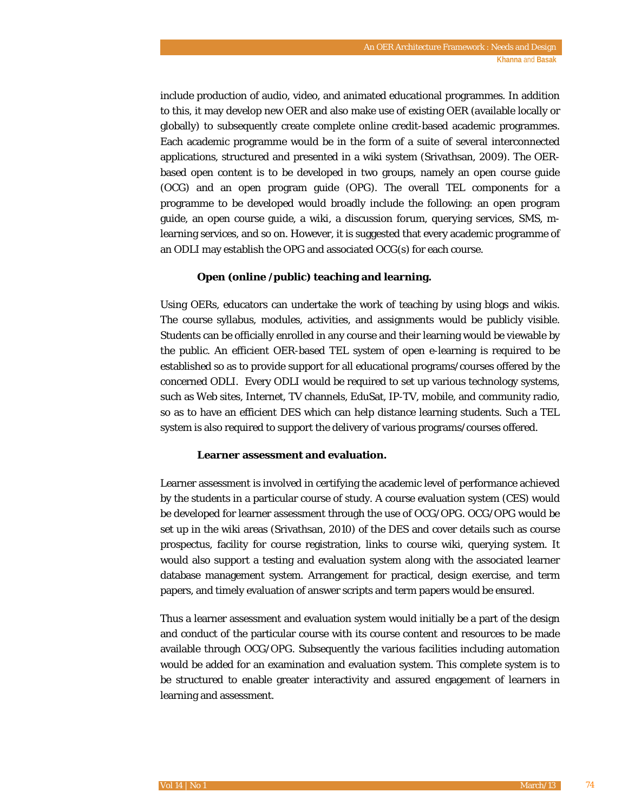include production of audio, video, and animated educational programmes. In addition to this, it may develop new OER and also make use of existing OER (available locally or globally) to subsequently create complete online credit-based academic programmes. Each academic programme would be in the form of a suite of several interconnected applications, structured and presented in a wiki system (Srivathsan, 2009). The OERbased open content is to be developed in two groups, namely an open course guide (OCG) and an open program guide (OPG). The overall TEL components for a programme to be developed would broadly include the following: an open program guide, an open course guide, a wiki, a discussion forum, querying services, SMS, mlearning services, and so on. However, it is suggested that every academic programme of an ODLI may establish the OPG and associated OCG(s) for each course.

#### **Open (online /public) teaching and learning.**

Using OERs, educators can undertake the work of teaching by using blogs and wikis. The course syllabus, modules, activities, and assignments would be publicly visible. Students can be officially enrolled in any course and their learning would be viewable by the public. An efficient OER-based TEL system of open e-learning is required to be established so as to provide support for all educational programs/courses offered by the concerned ODLI. Every ODLI would be required to set up various technology systems, such as Web sites, Internet, TV channels, EduSat, IP-TV, mobile, and community radio, so as to have an efficient DES which can help distance learning students. Such a TEL system is also required to support the delivery of various programs/courses offered.

#### **Learner assessment and evaluation.**

Learner assessment is involved in certifying the academic level of performance achieved by the students in a particular course of study. A course evaluation system (CES) would be developed for learner assessment through the use of OCG/OPG. OCG/OPG would be set up in the wiki areas (Srivathsan, 2010) of the DES and cover details such as course prospectus, facility for course registration, links to course wiki, querying system. It would also support a testing and evaluation system along with the associated learner database management system. Arrangement for practical, design exercise, and term papers, and timely evaluation of answer scripts and term papers would be ensured.

Thus a learner assessment and evaluation system would initially be a part of the design and conduct of the particular course with its course content and resources to be made available through OCG/OPG. Subsequently the various facilities including automation would be added for an examination and evaluation system. This complete system is to be structured to enable greater interactivity and assured engagement of learners in learning and assessment.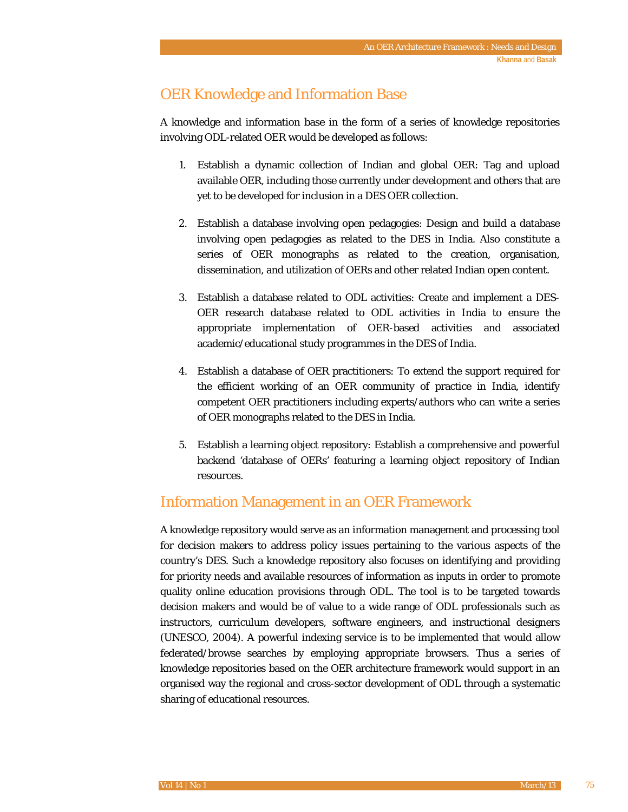# OER Knowledge and Information Base

A knowledge and information base in the form of a series of knowledge repositories involving ODL-related OER would be developed as follows:

- 1. Establish a dynamic collection of Indian and global OER: Tag and upload available OER, including those currently under development and others that are yet to be developed for inclusion in a DES OER collection.
- 2. Establish a database involving open pedagogies: Design and build a database involving open pedagogies as related to the DES in India. Also constitute a series of OER monographs as related to the creation, organisation, dissemination, and utilization of OERs and other related Indian open content.
- 3. Establish a database related to ODL activities: Create and implement a DES-OER research database related to ODL activities in India to ensure the appropriate implementation of OER-based activities and associated academic/educational study programmes in the DES of India.
- 4. Establish a database of OER practitioners: To extend the support required for the efficient working of an OER community of practice in India, identify competent OER practitioners including experts/authors who can write a series of OER monographs related to the DES in India.
- 5. Establish a learning object repository: Establish a comprehensive and powerful backend 'database of OERs' featuring a learning object repository of Indian resources.

# Information Management in an OER Framework

A knowledge repository would serve as an information management and processing tool for decision makers to address policy issues pertaining to the various aspects of the country's DES. Such a knowledge repository also focuses on identifying and providing for priority needs and available resources of information as inputs in order to promote quality online education provisions through ODL. The tool is to be targeted towards decision makers and would be of value to a wide range of ODL professionals such as instructors, curriculum developers, software engineers, and instructional designers (UNESCO, 2004). A powerful indexing service is to be implemented that would allow federated/browse searches by employing appropriate browsers. Thus a series of knowledge repositories based on the OER architecture framework would support in an organised way the regional and cross-sector development of ODL through a systematic sharing of educational resources.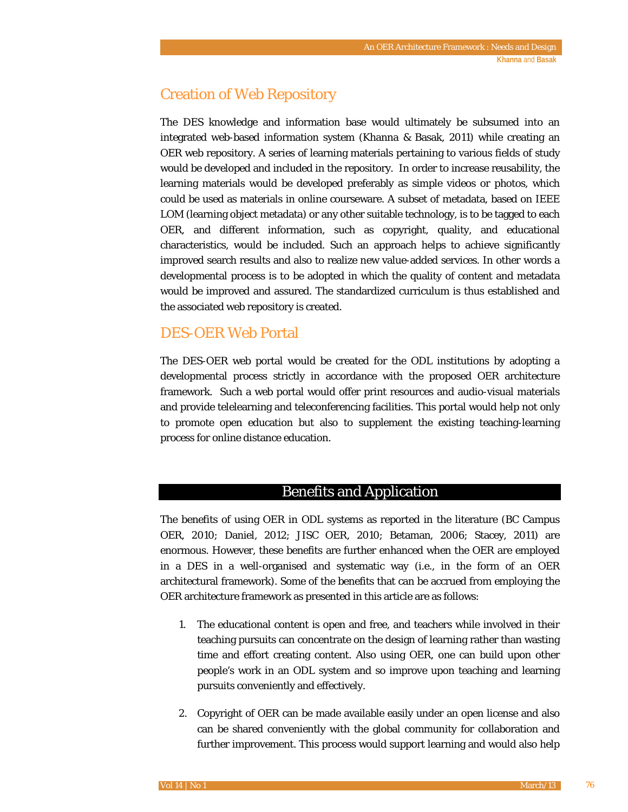# Creation of Web Repository

The DES knowledge and information base would ultimately be subsumed into an integrated web-based information system (Khanna & Basak, 2011) while creating an OER web repository. A series of learning materials pertaining to various fields of study would be developed and included in the repository. In order to increase reusability, the learning materials would be developed preferably as simple videos or photos, which could be used as materials in online courseware. A subset of metadata, based on IEEE LOM (learning object metadata) or any other suitable technology, is to be tagged to each OER, and different information, such as copyright, quality, and educational characteristics, would be included. Such an approach helps to achieve significantly improved search results and also to realize new value-added services. In other words a developmental process is to be adopted in which the quality of content and metadata would be improved and assured. The standardized curriculum is thus established and the associated web repository is created.

# DES-OER Web Portal

The DES-OER web portal would be created for the ODL institutions by adopting a developmental process strictly in accordance with the proposed OER architecture framework. Such a web portal would offer print resources and audio-visual materials and provide telelearning and teleconferencing facilities. This portal would help not only to promote open education but also to supplement the existing teaching-learning process for online distance education.

### Benefits and Application

The benefits of using OER in ODL systems as reported in the literature (BC Campus OER, 2010; Daniel, 2012; JISC OER, 2010; Betaman, 2006; Stacey, 2011) are enormous. However, these benefits are further enhanced when the OER are employed in a DES in a well-organised and systematic way (i.e., in the form of an OER architectural framework). Some of the benefits that can be accrued from employing the OER architecture framework as presented in this article are as follows:

- 1. The educational content is open and free, and teachers while involved in their teaching pursuits can concentrate on the design of learning rather than wasting time and effort creating content. Also using OER, one can build upon other people's work in an ODL system and so improve upon teaching and learning pursuits conveniently and effectively.
- 2. Copyright of OER can be made available easily under an open license and also can be shared conveniently with the global community for collaboration and further improvement. This process would support learning and would also help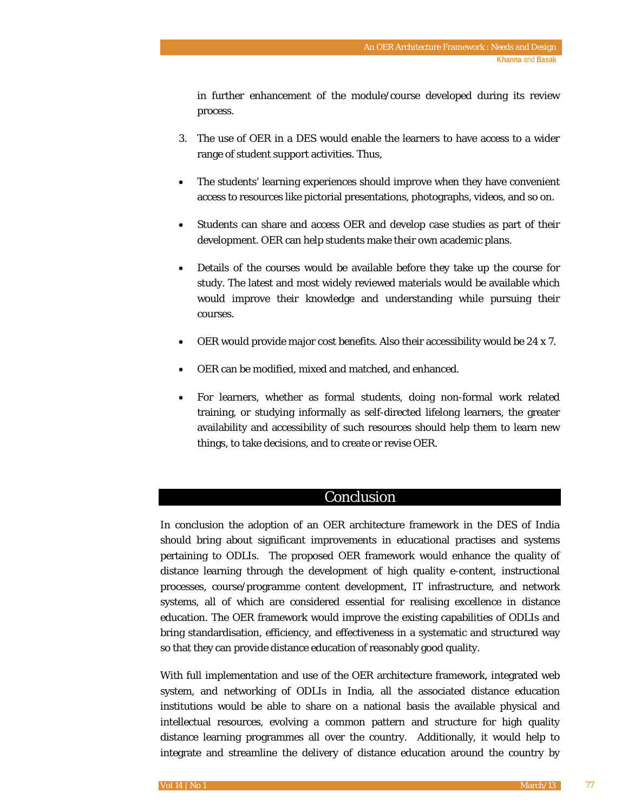in further enhancement of the module/course developed during its review process.

- 3. The use of OER in a DES would enable the learners to have access to a wider range of student support activities. Thus,
- The students' learning experiences should improve when they have convenient access to resources like pictorial presentations, photographs, videos, and so on.
- Students can share and access OER and develop case studies as part of their development. OER can help students make their own academic plans.
- Details of the courses would be available before they take up the course for study. The latest and most widely reviewed materials would be available which would improve their knowledge and understanding while pursuing their courses.
- OER would provide major cost benefits. Also their accessibility would be 24 x 7.
- OER can be modified, mixed and matched, and enhanced.
- For learners, whether as formal students, doing non-formal work related training, or studying informally as self-directed lifelong learners, the greater availability and accessibility of such resources should help them to learn new things, to take decisions, and to create or revise OER.

### Conclusion

In conclusion the adoption of an OER architecture framework in the DES of India should bring about significant improvements in educational practises and systems pertaining to ODLIs. The proposed OER framework would enhance the quality of distance learning through the development of high quality e-content, instructional processes, course/programme content development, IT infrastructure, and network systems, all of which are considered essential for realising excellence in distance education. The OER framework would improve the existing capabilities of ODLIs and bring standardisation, efficiency, and effectiveness in a systematic and structured way so that they can provide distance education of reasonably good quality.

With full implementation and use of the OER architecture framework, integrated web system, and networking of ODLIs in India, all the associated distance education institutions would be able to share on a national basis the available physical and intellectual resources, evolving a common pattern and structure for high quality distance learning programmes all over the country. Additionally, it would help to integrate and streamline the delivery of distance education around the country by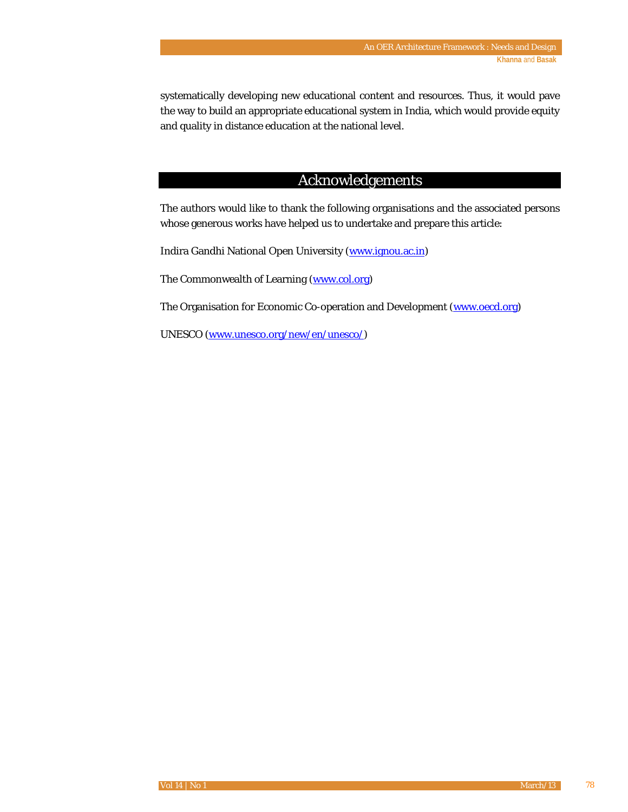systematically developing new educational content and resources. Thus, it would pave the way to build an appropriate educational system in India, which would provide equity and quality in distance education at the national level.

# Acknowledgements

The authors would like to thank the following organisations and the associated persons whose generous works have helped us to undertake and prepare this article:

Indira Gandhi National Open University (www.ignou.ac.in)

The Commonwealth of Learning (www.col.org)

The Organisation for Economic Co-operation and Development (www.oecd.org)

UNESCO [\(www.unesco.org/new/en/unesco/\)](http://www.unesco.org/new/en/unesco/)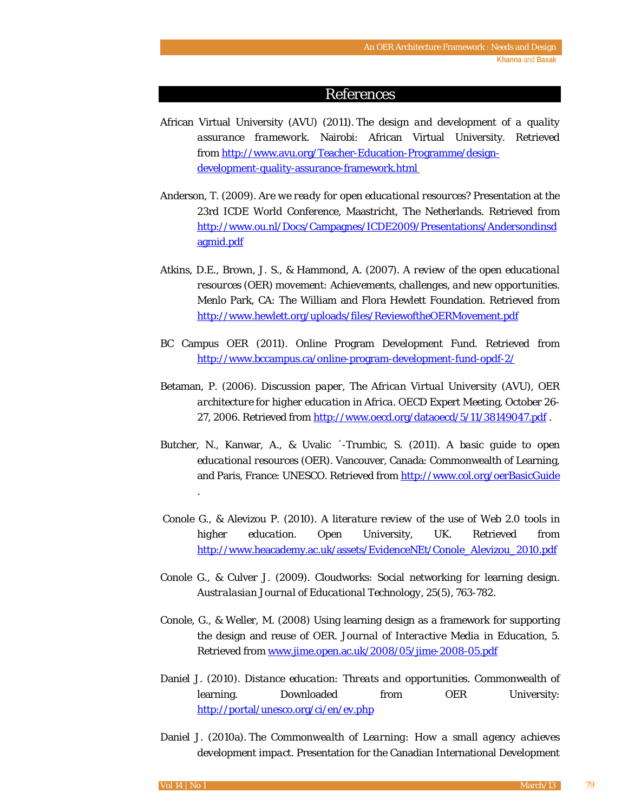### References

- African Virtual University (AVU) (2011). *The design and development of a quality assurance framework*. Nairobi: African Virtual University. Retrieved from [http://www.avu.org/Teacher-Education-Programme/design](http://www.avu.org/Teacher-Education-Programme/design-development-quality-assurance-framework.html)[development-quality-assurance-framework.html](http://www.avu.org/Teacher-Education-Programme/design-development-quality-assurance-framework.html)
- Anderson, T. (2009). *Are we ready for open educational resources?* Presentation at the 23rd ICDE World Conference, Maastricht, The Netherlands. Retrieved from http://www.ou.nl/Docs/Campagnes/ICDE2009/Presentations/Andersondinsd agmid.pdf
- Atkins, D.E., Brown, J. S., & Hammond, A. (2007). *A review of the open educational resources (OER) movement: Achievements, challenges, and new opportunities*. Menlo Park, CA: The William and Flora Hewlett Foundation. Retrieved from <http://www.hewlett.org/uploads/files/ReviewoftheOERMovement.pdf>
- BC Campus OER (2011). Online Program Development Fund. Retrieved from <http://www.bccampus.ca/online-program-development-fund-opdf-2/>
- Betaman, P. (2006). *Discussion paper, The African Virtual University (AVU), OER architecture for higher education in Africa*. OECD Expert Meeting, October 26- 27, 2006. Retrieved from http://www.oecd.org/dataoecd/5/11/38149047.pdf.
- Butcher, N., Kanwar, A., & Uvalic ´-Trumbic, S. (2011). *A basic guide to open educational resources (OER).* Vancouver, Canada: Commonwealth of Learning, and Paris, France: UNESCO. Retrieved from<http://www.col.org/oerBasicGuide>
- Conole G., & Alevizou P. (2010). *A literature review of the use of Web 2.0 tools in higher education*. Open University, UK. Retrieved from http://www.heacademy.ac.uk/assets/EvidenceNEt/Conole\_Alevizou\_2010.pdf
- Conole G., & Culver J. (2009). Cloudworks: Social networking for learning design. *Australasian Journal of Educational Technology, 25*(5), 763-782.
- Conole, G., & Weller, M. (2008) Using learning design as a framework for supporting the design and reuse of OER. *Journal of Interactive Media in Education, 5.* Retrieved from www.jime.open.ac.uk/2008/05/jime-2008-05.pdf
- Daniel J. (2010). *Distance education: Threats and opportunities*. Commonwealth of learning. Downloaded from OER University: http://portal/unesco.org/ci/en/ev.php
- Daniel J. (2010a). *The Commonwealth of Learning: How a small agency achieves development impact*. Presentation for the Canadian International Development

.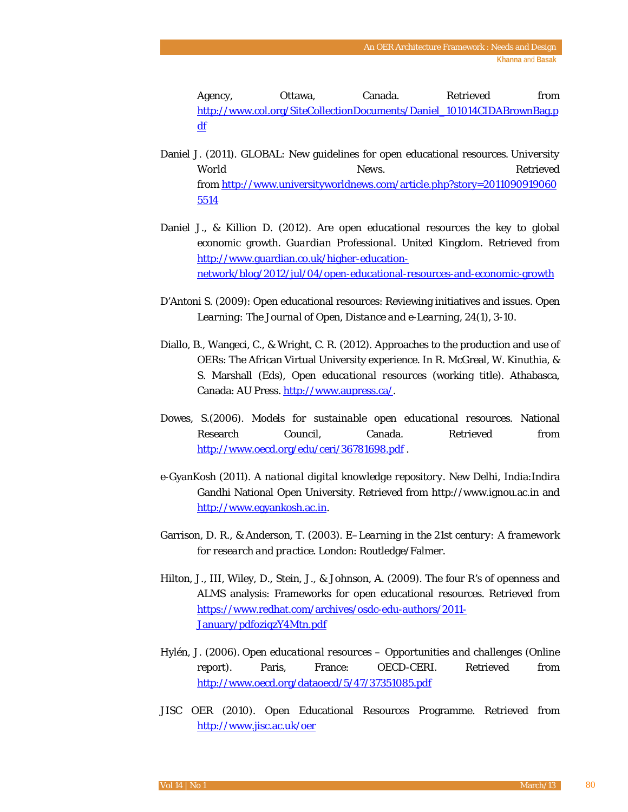Agency, Ottawa, Canada. Retrieved from http://www.col.org/SiteCollectionDocuments/Daniel\_101014CIDABrownBag.p df

- Daniel J. (2011). GLOBAL: New guidelines for open educational resources. *University World News*. Retrieved from http://www.universityworldnews.com/article.php?story=2011090919060 5514
- Daniel J., & Killion D. (2012). *A*re open educational resources the key to global economic growth. *Guardian Professional.* United Kingdom. Retrieved from [http://www.guardian.co.uk/higher-education](http://www.guardian.co.uk/higher-education-network/blog/2012/jul/04/open-educational-resources-and-economic-growth)[network/blog/2012/jul/04/open-educational-resources-and-economic-growth](http://www.guardian.co.uk/higher-education-network/blog/2012/jul/04/open-educational-resources-and-economic-growth)
- D'Antoni S. (2009): Open educational resources: Reviewing initiatives and issues. *Open Learning: The Journal of Open, Distance and e-Learning, 24*(1), 3-10.
- Diallo, B., Wangeci, C., & Wright, C. R. (2012). Approaches to the production and use of OERs: The African Virtual University experience. In R. McGreal, W. Kinuthia, & S. Marshall (Eds), *Open educational resources* (working title). Athabasca, Canada: AU Press. http://www.aupress.ca/.
- Dowes, S.(2006). *Models for sustainable open educational resources*. National Research Council, Canada. Retrieved from http://www.oecd.org/edu/ceri/36781698.pdf .
- e-GyanKosh (2011). *A national digital knowledge repository*. New Delhi, India:Indira Gandhi National Open University. Retrieved from http://www.ignou.ac.in and [http://www.egyankosh.ac.in.](http://www.egyankosh.ac.in/)
- Garrison, D. R., & Anderson, T. (2003). *E–Learning in the 21st century: A framework for research and practice*. London: Routledge/Falmer.
- Hilton, J., III, Wiley, D., Stein, J., & Johnson, A. (2009). The four R's of openness and ALMS analysis: Frameworks for open educational resources. Retrieved from [https://www.redhat.com/archives/osdc-edu-authors/2011-](https://www.redhat.com/archives/osdc-edu-authors/2011-January/pdfoziqzY4Mtn.pdf) [January/pdfoziqzY4Mtn.pdf](https://www.redhat.com/archives/osdc-edu-authors/2011-January/pdfoziqzY4Mtn.pdf)
- Hylén, J. (2006). *Open educational resources – Opportunities and challenges* (Online report). Paris, France: OECD-CERI. Retrieved from <http://www.oecd.org/dataoecd/5/47/37351085.pdf>
- JISC OER (2010). Open Educational Resources Programme. Retrieved from http://www.jisc.ac.uk/oer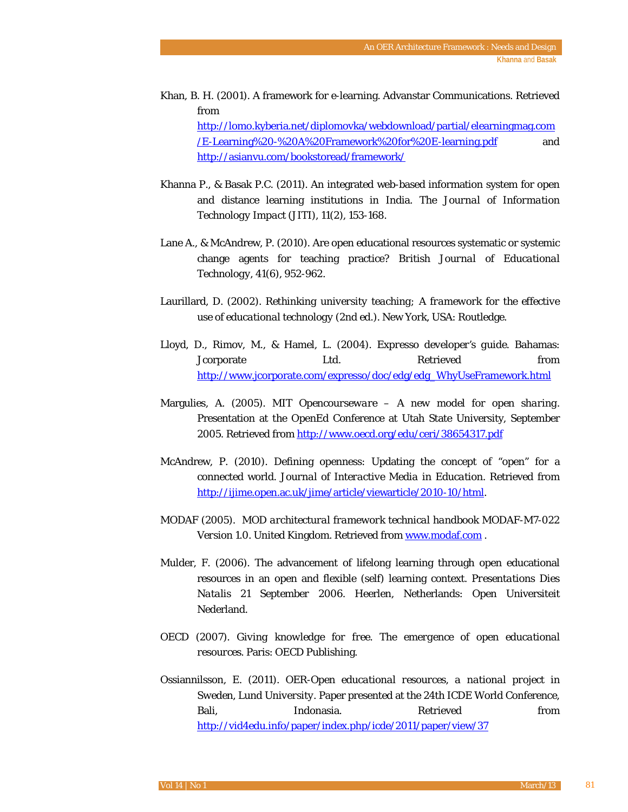- Khan, B. H. (2001). A framework for e-learning. Advanstar Communications. Retrieved from [http://lomo.kyberia.net/diplomovka/webdownload/partial/elearningmag.com](http://lomo.kyberia.net/diplomovka/webdownload/partial/elearningmag.com/E-Learning%20-%20A%20Framework%20for%20E-learning.pdf) [/E-Learning%20-%20A%20Framework%20for%20E-learning.pdf](http://lomo.kyberia.net/diplomovka/webdownload/partial/elearningmag.com/E-Learning%20-%20A%20Framework%20for%20E-learning.pdf) and <http://asianvu.com/bookstoread/framework/>
- Khanna P., & Basak P.C. (2011). An integrated web-based information system for open and distance learning institutions in India. *The Journal of Information Technology Impact (JITI), 11*(2), 153-168.
- Lane A., & McAndrew, P. (2010). Are open educational resources systematic or systemic change agents for teaching practice? *British Journal of Educational Technology, 41*(6), 952-962.
- Laurillard, D. (2002). *Rethinking university teaching; A framework for the effective use of educational technology* (2nd ed.). New York, USA: Routledge.
- Lloyd, D., Rimov, M., & Hamel, L. (2004). *Expresso developer's guide*. Bahamas: Jcorporate Ltd. Retrieved from [http://www.jcorporate.com/expresso/doc/edg/edg\\_WhyUseFramework.html](http://www.jcorporate.com/expresso/doc/edg/edg_WhyUseFramework.html)
- Margulies, A. (2005). *MIT Opencourseware – A new model for open sharing*. Presentation at the OpenEd Conference at Utah State University, September 2005. Retrieved fro[m http://www.oecd.org/edu/ceri/38654317.pdf](http://www.oecd.org/edu/ceri/38654317.pdf)
- McAndrew, P. (2010). Defining openness: Updating the concept of "open" for a connected world. *Journal of Interactive Media in Education*. Retrieved from [http://ijime.open.ac.uk/jime/article/viewarticle/2010-10/html.](http://ijime.open.ac.uk/jime/article/viewarticle/2010-10/html)
- MODAF (2005). *MOD architectural framework technical handbook MODAF-M7-022*  Version 1.0. United Kingdom. Retrieved from www.modaf.com.
- Mulder, F. (2006). The advancement of lifelong learning through open educational resources in an open and flexible (self) learning context. *Presentations Dies Natalis 21 September 2006*. Heerlen, Netherlands: Open Universiteit Nederland.
- OECD (2007). *Giving knowledge for free. The emergence of open educational resources*. Paris: OECD Publishing.
- Ossiannilsson, E. (2011). *OER-Open educational resources, a national project in Sweden, Lund University*. Paper presented at the 24th ICDE World Conference, Bali, Indonasia. Retrieved from http://vid4edu.info/paper/index.php/icde/2011/paper/view/37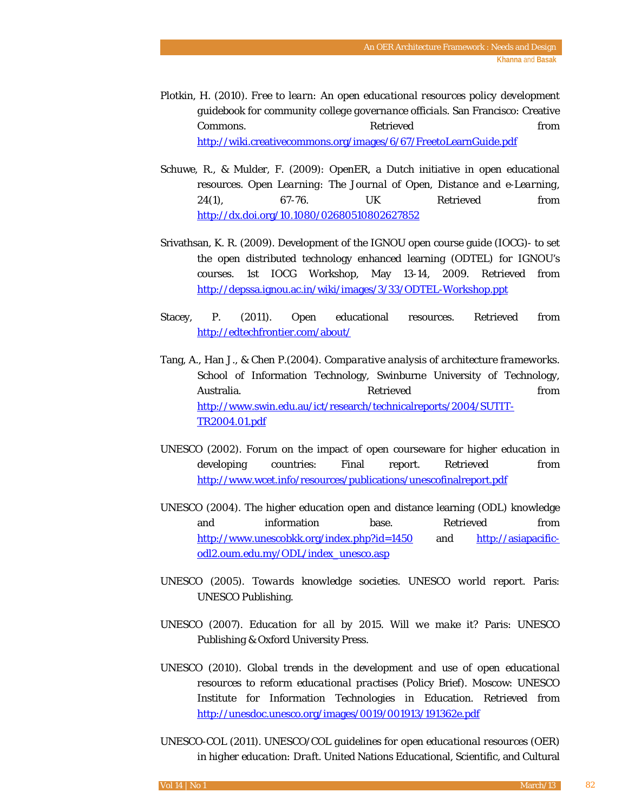- Plotkin, H. (2010). *Free to learn: An open educational resources policy development guidebook for community college governance officials*. San Francisco: Creative Commons. Retrieved from http://wiki.creativecommons.org/images/6/67/FreetoLearnGuide.pdf
- Schuwe, R., & Mulder, F. (2009): OpenER, a Dutch initiative in open educational resources. *Open Learning: The Journal of Open, Distance and e-Learning, 24*(1), 67-76. UK Retrieved from <http://dx.doi.org/10.1080/02680510802627852>
- Srivathsan, K. R. (2009). Development of the IGNOU open course guide (IOCG)- to set the open distributed technology enhanced learning (ODTEL) for IGNOU's courses. 1st IOCG Workshop, May 13-14, 2009. Retrieved from <http://depssa.ignou.ac.in/wiki/images/3/33/ODTEL-Workshop.ppt>
- Stacey, P. (2011). Open educational resources. Retrieved from <http://edtechfrontier.com/about/>
- Tang, A., Han J., & Chen P.(2004). *Comparative analysis of architecture frameworks*. School of Information Technology, Swinburne University of Technology, Australia. Retrieved from [http://www.swin.edu.au/ict/research/technicalreports/2004/SUTIT-](http://www.swin.edu.au/ict/research/technicalreports/2004/SUTIT-TR2004.01.pdf)[TR2004.01.pdf](http://www.swin.edu.au/ict/research/technicalreports/2004/SUTIT-TR2004.01.pdf)
- UNESCO (2002). Forum on the impact of open courseware for higher education in developing countries: Final report. Retrieved from http://www.wcet.info/resources/publications/unescofinalreport.pdf
- UNESCO (2004). The higher education open and distance learning (ODL) knowledge and information base. Retrieved from [http://www.unescobkk.org/index.php?id=1450](http://www.unescobkk.org/index.php?id=1450%20) and [http://asiapacific](http://asiapacific-odl2.oum.edu.my/ODL/index_unesco.asp)[odl2.oum.edu.my/ODL/index\\_unesco.asp](http://asiapacific-odl2.oum.edu.my/ODL/index_unesco.asp)
- UNESCO (2005). *Towards knowledge societies. UNESCO world report*. Paris: UNESCO Publishing.
- UNESCO (2007). *Education for all by 2015. Will we make it?* Paris: UNESCO Publishing & Oxford University Press.
- UNESCO (2010). *Global trends in the development and use of open educational resources to reform educational practises* (Policy Brief). Moscow: UNESCO Institute for Information Technologies in Education. Retrieved from <http://unesdoc.unesco.org/images/0019/001913/191362e.pdf>
- UNESCO-COL (2011). *UNESCO/COL guidelines for open educational resources (OER) in higher education: Draft.* United Nations Educational, Scientific, and Cultural